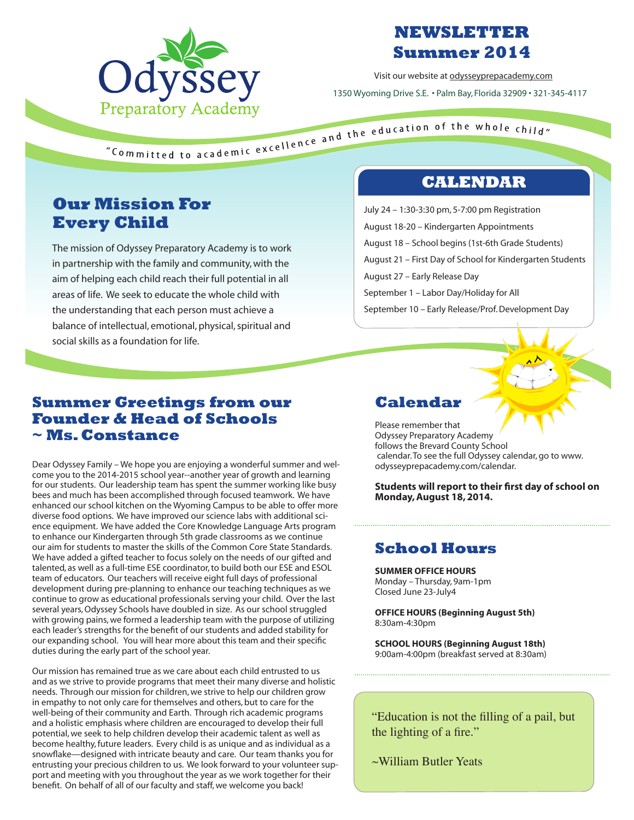

# **NEWSLETTER Summer 2014**

Visit our website at odysseyprepacademy.com 1350 Wyoming Drive S.E. • Palm Bay, Florida 32909 • 321-345-4117

"Committed to academic excellence and the education of the whole child"<br>"Committed to academic excellence and the education of the whole child"

# **Our Mission For Every Child**

The mission of Odyssey Preparatory Academy is to work in partnership with the family and community, with the aim of helping each child reach their full potential in all areas of life. We seek to educate the whole child with the understanding that each person must achieve a balance of intellectual, emotional, physical, spiritual and social skills as a foundation for life.

## **CALENDAR**

July 24 – 1:30-3:30 pm, 5-7:00 pm Registration August 18-20 – Kindergarten Appointments August 18 – School begins (1st-6th Grade Students) August 21 – First Day of School for Kindergarten Students August 27 – Early Release Day September 1 – Labor Day/Holiday for All September 10 – Early Release/Prof. Development Day

#### **Summer Greetings from our Founder & Head of Schools ~ Ms. Constance**

Dear Odyssey Family – We hope you are enjoying a wonderful summer and welcome you to the 2014-2015 school year--another year of growth and learning for our students. Our leadership team has spent the summer working like busy bees and much has been accomplished through focused teamwork. We have enhanced our school kitchen on the Wyoming Campus to be able to offer more diverse food options. We have improved our science labs with additional science equipment. We have added the Core Knowledge Language Arts program to enhance our Kindergarten through 5th grade classrooms as we continue our aim for students to master the skills of the Common Core State Standards. We have added a gifted teacher to focus solely on the needs of our gifted and talented, as well as a full-time ESE coordinator, to build both our ESE and ESOL team of educators. Our teachers will receive eight full days of professional development during pre-planning to enhance our teaching techniques as we continue to grow as educational professionals serving your child. Over the last several years, Odyssey Schools have doubled in size. As our school struggled with growing pains, we formed a leadership team with the purpose of utilizing each leader's strengths for the benefit of our students and added stability for our expanding school. You will hear more about this team and their specific duties during the early part of the school year.

Our mission has remained true as we care about each child entrusted to us and as we strive to provide programs that meet their many diverse and holistic needs. Through our mission for children, we strive to help our children grow in empathy to not only care for themselves and others, but to care for the well-being of their community and Earth. Through rich academic programs and a holistic emphasis where children are encouraged to develop their full potential, we seek to help children develop their academic talent as well as become healthy, future leaders. Every child is as unique and as individual as a snowflake—designed with intricate beauty and care. Our team thanks you for entrusting your precious children to us. We look forward to your volunteer support and meeting with you throughout the year as we work together for their benefit. On behalf of all of our faculty and staff, we welcome you back!

## **Calendar**

Please remember that Odyssey Preparatory Academy follows the Brevard County School calendar. To see the full Odyssey calendar, go to www. odysseyprepacademy.com/calendar.

**Students will report to their first day of school on Monday, August 18, 2014.**

# **School Hours**

**SUMMER OFFICE HOURS** Monday – Thursday, 9am-1pm Closed June 23-July4

**OFFICE HOURS (Beginning August 5th)** 8:30am-4:30pm

**SCHOOL HOURS (Beginning August 18th)** 9:00am-4:00pm (breakfast served at 8:30am)

"Education is not the filling of a pail, but the lighting of a fire."

~William Butler Yeats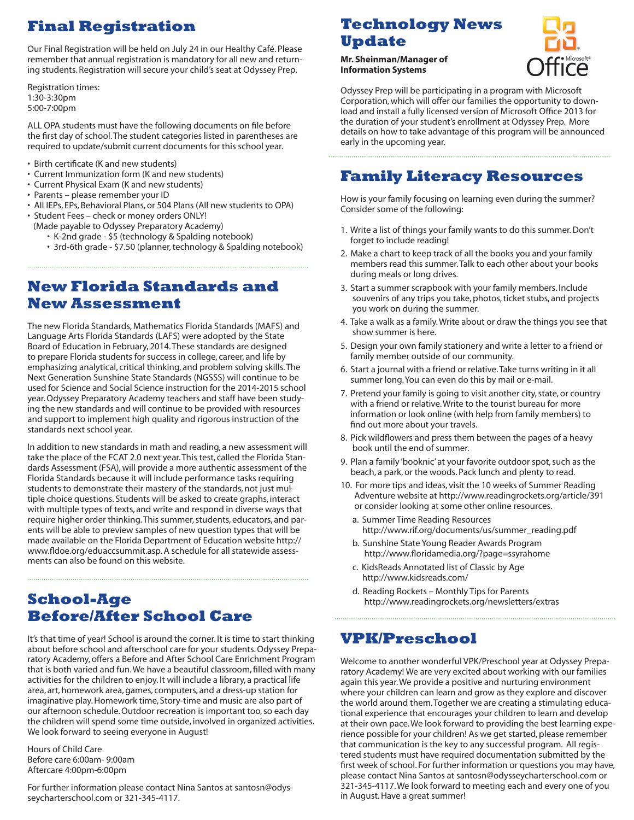# **Final Registration**

Our Final Registration will be held on July 24 in our Healthy Café. Please remember that annual registration is mandatory for all new and returning students. Registration will secure your child's seat at Odyssey Prep.

Registration times: 1:30-3:30pm 5:00-7:00pm

ALL OPA students must have the following documents on file before the first day of school. The student categories listed in parentheses are required to update/submit current documents for this school year.

- Birth certificate (K and new students)
- Current Immunization form (K and new students)
- Current Physical Exam (K and new students)
- Parents please remember your ID
- All IEPs, EPs, Behavioral Plans, or 504 Plans (All new students to OPA)
- Student Fees check or money orders ONLY! (Made payable to Odyssey Preparatory Academy)
	- K-2nd grade \$5 (technology & Spalding notebook)
	- 3rd-6th grade \$7.50 (planner, technology & Spalding notebook)

#### **New Florida Standards and New Assessment**

The new Florida Standards, Mathematics Florida Standards (MAFS) and Language Arts Florida Standards (LAFS) were adopted by the State Board of Education in February, 2014. These standards are designed to prepare Florida students for success in college, career, and life by emphasizing analytical, critical thinking, and problem solving skills. The Next Generation Sunshine State Standards (NGSSS) will continue to be used for Science and Social Science instruction for the 2014-2015 school year. Odyssey Preparatory Academy teachers and staff have been studying the new standards and will continue to be provided with resources and support to implement high quality and rigorous instruction of the standards next school year.

In addition to new standards in math and reading, a new assessment will take the place of the FCAT 2.0 next year. This test, called the Florida Standards Assessment (FSA), will provide a more authentic assessment of the Florida Standards because it will include performance tasks requiring students to demonstrate their mastery of the standards, not just multiple choice questions. Students will be asked to create graphs, interact with multiple types of texts, and write and respond in diverse ways that require higher order thinking. This summer, students, educators, and parents will be able to preview samples of new question types that will be made available on the Florida Department of Education website http:// www.fldoe.org/eduaccsummit.asp. A schedule for all statewide assessments can also be found on this website.

## **School-Age Before/After School Care**

It's that time of year! School is around the corner. It is time to start thinking about before school and afterschool care for your students. Odyssey Preparatory Academy, offers a Before and After School Care Enrichment Program that is both varied and fun. We have a beautiful classroom, filled with many activities for the children to enjoy. It will include a library, a practical life area, art, homework area, games, computers, and a dress-up station for imaginative play. Homework time, Story-time and music are also part of our afternoon schedule. Outdoor recreation is important too, so each day the children will spend some time outside, involved in organized activities. We look forward to seeing everyone in August!

Hours of Child Care Before care 6:00am- 9:00am Aftercare 4:00pm-6:00pm

For further information please contact Nina Santos at santosn@odysseycharterschool.com or 321-345-4117.

## **Technology News Update**

**Mr. Sheinman/Manager of Information Systems**



Odyssey Prep will be participating in a program with Microsoft Corporation, which will offer our families the opportunity to download and install a fully licensed version of Microsoft Office 2013 for the duration of your student's enrollment at Odyssey Prep. More details on how to take advantage of this program will be announced early in the upcoming year.

## **Family Literacy Resources**

How is your family focusing on learning even during the summer? Consider some of the following:

- 1. Write a list of things your family wants to do this summer. Don't forget to include reading!
- 2. Make a chart to keep track of all the books you and your family members read this summer. Talk to each other about your books during meals or long drives.
- 3. Start a summer scrapbook with your family members. Include souvenirs of any trips you take, photos, ticket stubs, and projects you work on during the summer.
- 4. Take a walk as a family. Write about or draw the things you see that show summer is here.
- 5. Design your own family stationery and write a letter to a friend or family member outside of our community.
- 6. Start a journal with a friend or relative. Take turns writing in it all summer long. You can even do this by mail or e-mail.
- 7. Pretend your family is going to visit another city, state, or country with a friend or relative. Write to the tourist bureau for more information or look online (with help from family members) to find out more about your travels.
- 8. Pick wildflowers and press them between the pages of a heavy book until the end of summer.
- 9. Plan a family 'booknic' at your favorite outdoor spot, such as the beach, a park, or the woods. Pack lunch and plenty to read.
- 10. For more tips and ideas, visit the 10 weeks of Summer Reading Adventure website at http://www.readingrockets.org/article/391 or consider looking at some other online resources.
	- a. Summer Time Reading Resources http://www.rif.org/documents/us/summer\_reading.pdf
	- b. Sunshine State Young Reader Awards Program http://www.floridamedia.org/?page=ssyrahome
	- c. KidsReads Annotated list of Classic by Age http://www.kidsreads.com/
	- d. Reading Rockets Monthly Tips for Parents http://www.readingrockets.org/newsletters/extras

## **VPK/Preschool**

Welcome to another wonderful VPK/Preschool year at Odyssey Preparatory Academy! We are very excited about working with our families again this year. We provide a positive and nurturing environment where your children can learn and grow as they explore and discover the world around them. Together we are creating a stimulating educational experience that encourages your children to learn and develop at their own pace. We look forward to providing the best learning experience possible for your children! As we get started, please remember that communication is the key to any successful program. All registered students must have required documentation submitted by the first week of school. For further information or questions you may have, please contact Nina Santos at santosn@odysseycharterschool.com or 321-345-4117. We look forward to meeting each and every one of you in August. Have a great summer!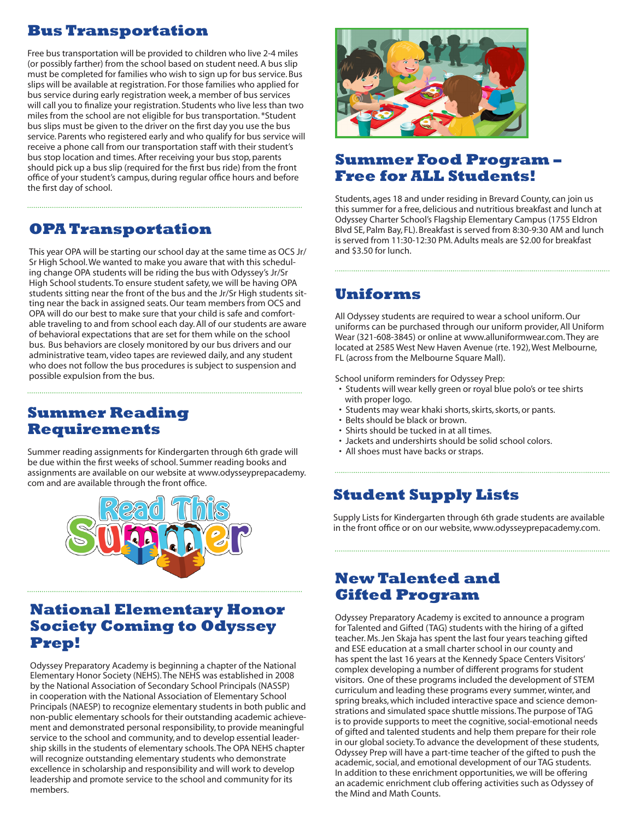# **Bus Transportation**

Free bus transportation will be provided to children who live 2-4 miles (or possibly farther) from the school based on student need. A bus slip must be completed for families who wish to sign up for bus service. Bus slips will be available at registration. For those families who applied for bus service during early registration week, a member of bus services will call you to finalize your registration. Students who live less than two miles from the school are not eligible for bus transportation. \*Student bus slips must be given to the driver on the first day you use the bus service. Parents who registered early and who qualify for bus service will receive a phone call from our transportation staff with their student's bus stop location and times. After receiving your bus stop, parents should pick up a bus slip (required for the first bus ride) from the front office of your student's campus, during regular office hours and before the first day of school.

## **OPA Transportation**

This year OPA will be starting our school day at the same time as OCS Jr/ Sr High School. We wanted to make you aware that with this scheduling change OPA students will be riding the bus with Odyssey's Jr/Sr High School students. To ensure student safety, we will be having OPA students sitting near the front of the bus and the Jr/Sr High students sitting near the back in assigned seats. Our team members from OCS and OPA will do our best to make sure that your child is safe and comfortable traveling to and from school each day. All of our students are aware of behavioral expectations that are set for them while on the school bus. Bus behaviors are closely monitored by our bus drivers and our administrative team, video tapes are reviewed daily, and any student who does not follow the bus procedures is subject to suspension and possible expulsion from the bus.

#### **Summer Reading Requirements**

Summer reading assignments for Kindergarten through 6th grade will be due within the first weeks of school. Summer reading books and assignments are available on our website at www.odysseyprepacademy. com and are available through the front office.



#### **National Elementary Honor Society Coming to Odyssey Prep!**

Odyssey Preparatory Academy is beginning a chapter of the National Elementary Honor Society (NEHS). The NEHS was established in 2008 by the National Association of Secondary School Principals (NASSP) in cooperation with the National Association of Elementary School Principals (NAESP) to recognize elementary students in both public and non-public elementary schools for their outstanding academic achievement and demonstrated personal responsibility, to provide meaningful service to the school and community, and to develop essential leadership skills in the students of elementary schools.The OPA NEHS chapter will recognize outstanding elementary students who demonstrate excellence in scholarship and responsibility and will work to develop leadership and promote service to the school and community for its members.



## **Summer Food Program – Free for ALL Students!**

Students, ages 18 and under residing in Brevard County, can join us this summer for a free, delicious and nutritious breakfast and lunch at Odyssey Charter School's Flagship Elementary Campus (1755 Eldron Blvd SE, Palm Bay, FL). Breakfast is served from 8:30-9:30 AM and lunch is served from 11:30-12:30 PM. Adults meals are \$2.00 for breakfast and \$3.50 for lunch.

#### **Uniforms**

All Odyssey students are required to wear a school uniform. Our uniforms can be purchased through our uniform provider, All Uniform Wear (321-608-3845) or online at www.alluniformwear.com. They are located at 2585 West New Haven Avenue (rte. 192), West Melbourne, FL (across from the Melbourne Square Mall).

School uniform reminders for Odyssey Prep:

- Students will wear kelly green or royal blue polo's or tee shirts with proper logo.
- Students may wear khaki shorts, skirts, skorts, or pants.
- Belts should be black or brown.
- Shirts should be tucked in at all times.
- Jackets and undershirts should be solid school colors.
- All shoes must have backs or straps.

# **Student Supply Lists**

Supply Lists for Kindergarten through 6th grade students are available in the front office or on our website, www.odysseyprepacademy.com.

#### **New Talented and Gifted Program**

Odyssey Preparatory Academy is excited to announce a program for Talented and Gifted (TAG) students with the hiring of a gifted teacher. Ms. Jen Skaja has spent the last four years teaching gifted and ESE education at a small charter school in our county and has spent the last 16 years at the Kennedy Space Centers Visitors' complex developing a number of different programs for student visitors. One of these programs included the development of STEM curriculum and leading these programs every summer, winter, and spring breaks, which included interactive space and science demonstrations and simulated space shuttle missions. The purpose of TAG is to provide supports to meet the cognitive, social-emotional needs of gifted and talented students and help them prepare for their role in our global society. To advance the development of these students, Odyssey Prep will have a part-time teacher of the gifted to push the academic, social, and emotional development of our TAG students. In addition to these enrichment opportunities, we will be offering an academic enrichment club offering activities such as Odyssey of the Mind and Math Counts.